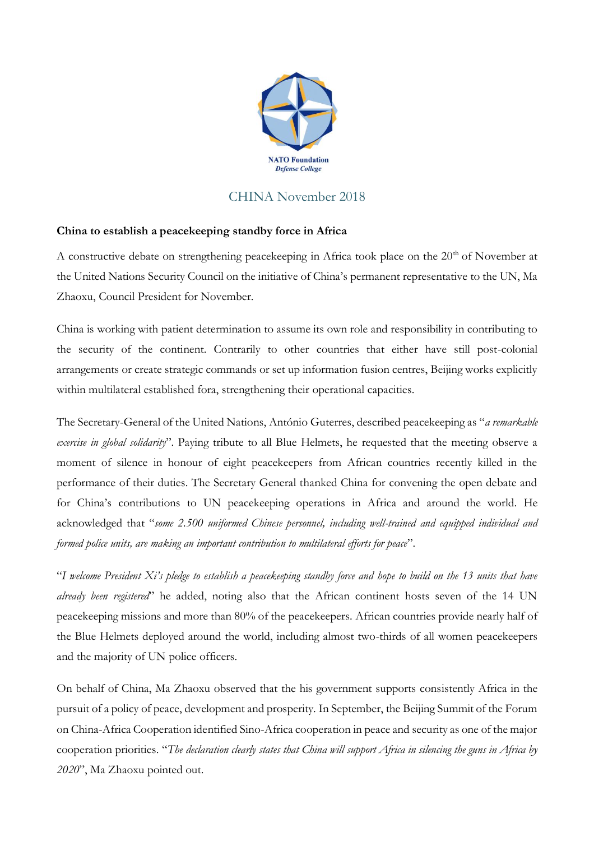

## CHINA November 2018

## **China to establish a peacekeeping standby force in Africa**

A constructive debate on strengthening peacekeeping in Africa took place on the  $20<sup>th</sup>$  of November at the United Nations Security Council on the initiative of China's permanent representative to the UN, Ma Zhaoxu, Council President for November.

China is working with patient determination to assume its own role and responsibility in contributing to the security of the continent. Contrarily to other countries that either have still post-colonial arrangements or create strategic commands or set up information fusion centres, Beijing works explicitly within multilateral established fora, strengthening their operational capacities.

The Secretary-General of the United Nations, António Guterres, described peacekeeping as "*a remarkable exercise in global solidarity*". Paying tribute to all Blue Helmets, he requested that the meeting observe a moment of silence in honour of eight peacekeepers from African countries recently killed in the performance of their duties. The Secretary General thanked China for convening the open debate and for China's contributions to UN peacekeeping operations in Africa and around the world. He acknowledged that "*some 2.500 uniformed Chinese personnel, including well-trained and equipped individual and formed police units, are making an important contribution to multilateral efforts for peace*".

"*I welcome President Xi's pledge to establish a peacekeeping standby force and hope to build on the 13 units that have already been registered*" he added, noting also that the African continent hosts seven of the 14 UN peacekeeping missions and more than 80% of the peacekeepers. African countries provide nearly half of the Blue Helmets deployed around the world, including almost two-thirds of all women peacekeepers and the majority of UN police officers.

On behalf of China, Ma Zhaoxu observed that the his government supports consistently Africa in the pursuit of a policy of peace, development and prosperity. In September, the Beijing Summit of the Forum on China-Africa Cooperation identified Sino-Africa cooperation in peace and security as one of the major cooperation priorities. "*The declaration clearly states that China will support Africa in silencing the guns in Africa by 2020*", Ma Zhaoxu pointed out.